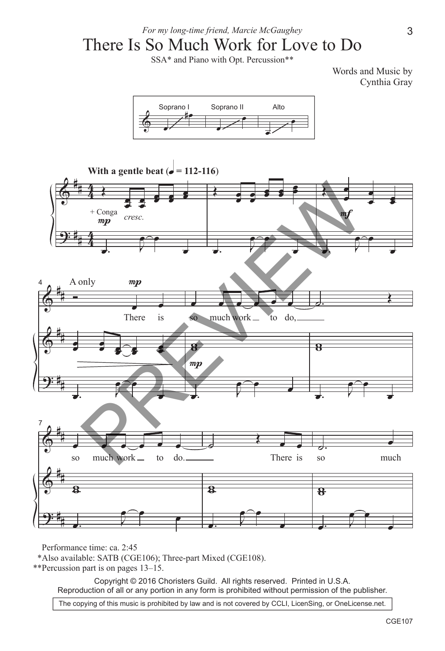## There Is So Much Work for Love to Do

SSA\* and Piano with Opt. Percussion\*\*

Words and Music by Cynthia Gray





Performance time: ca. 2:45

\*Also available: SATB (CGE106); Three-part Mixed (CGE108).

\*\*Percussion part is on pages 13–15.

Copyright © 2016 Choristers Guild. All rights reserved. Printed in U.S.A. Reproduction of all or any portion in any form is prohibited without permission of the publisher.

The copying of this music is prohibited by law and is not covered by CCLI, LicenSing, or OneLicense.net.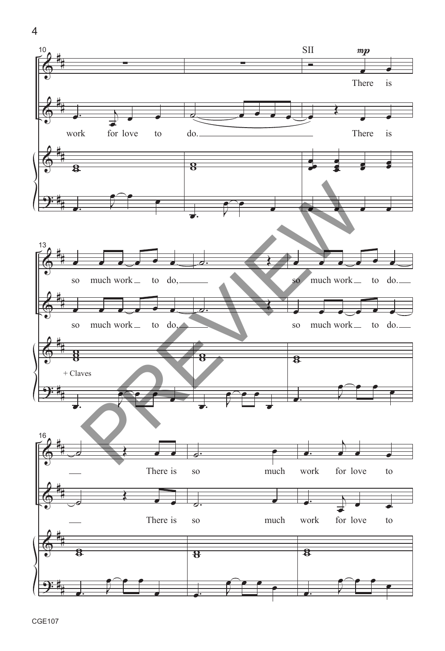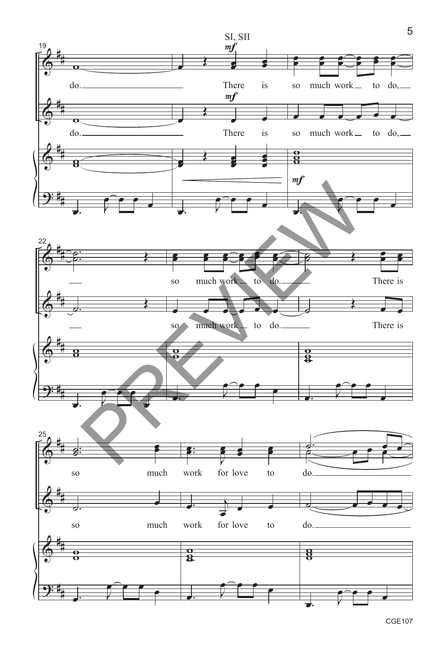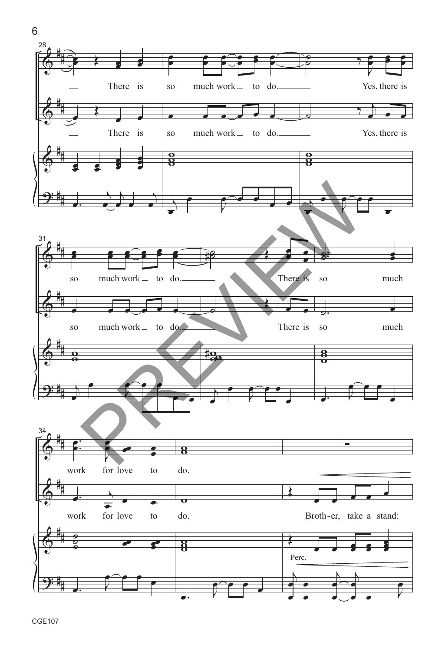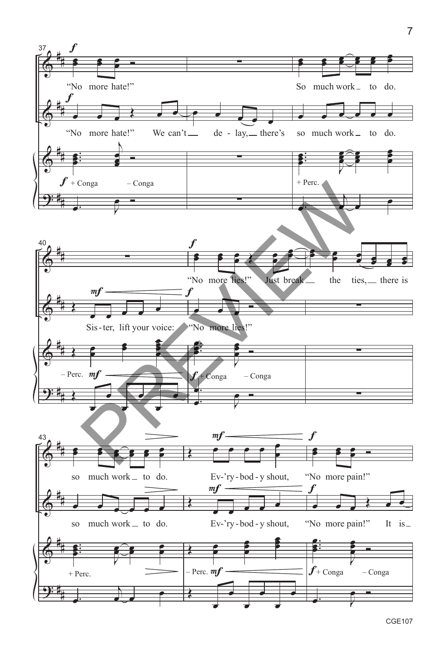![](_page_4_Figure_0.jpeg)